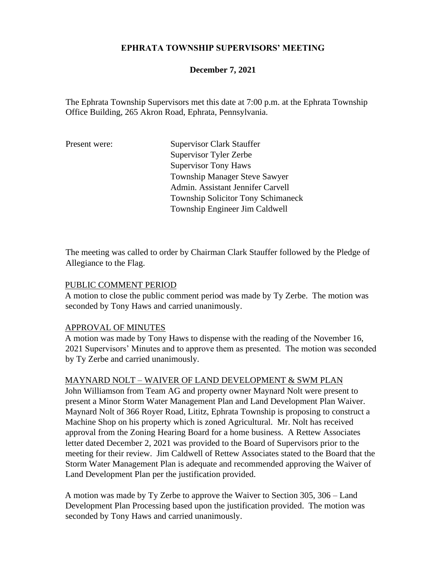### **EPHRATA TOWNSHIP SUPERVISORS' MEETING**

### **December 7, 2021**

The Ephrata Township Supervisors met this date at 7:00 p.m. at the Ephrata Township Office Building, 265 Akron Road, Ephrata, Pennsylvania.

Present were: Supervisor Clark Stauffer Supervisor Tyler Zerbe Supervisor Tony Haws Township Manager Steve Sawyer Admin. Assistant Jennifer Carvell Township Solicitor Tony Schimaneck Township Engineer Jim Caldwell

The meeting was called to order by Chairman Clark Stauffer followed by the Pledge of Allegiance to the Flag.

#### PUBLIC COMMENT PERIOD

A motion to close the public comment period was made by Ty Zerbe. The motion was seconded by Tony Haws and carried unanimously.

#### APPROVAL OF MINUTES

A motion was made by Tony Haws to dispense with the reading of the November 16, 2021 Supervisors' Minutes and to approve them as presented. The motion was seconded by Ty Zerbe and carried unanimously.

#### MAYNARD NOLT – WAIVER OF LAND DEVELOPMENT & SWM PLAN

John Williamson from Team AG and property owner Maynard Nolt were present to present a Minor Storm Water Management Plan and Land Development Plan Waiver. Maynard Nolt of 366 Royer Road, Lititz, Ephrata Township is proposing to construct a Machine Shop on his property which is zoned Agricultural. Mr. Nolt has received approval from the Zoning Hearing Board for a home business. A Rettew Associates letter dated December 2, 2021 was provided to the Board of Supervisors prior to the meeting for their review. Jim Caldwell of Rettew Associates stated to the Board that the Storm Water Management Plan is adequate and recommended approving the Waiver of Land Development Plan per the justification provided.

A motion was made by Ty Zerbe to approve the Waiver to Section 305, 306 – Land Development Plan Processing based upon the justification provided. The motion was seconded by Tony Haws and carried unanimously.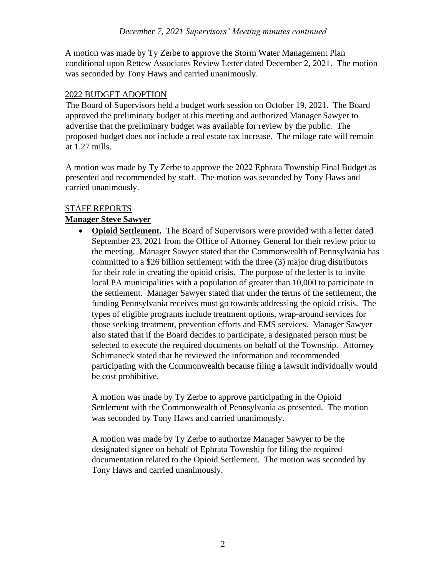A motion was made by Ty Zerbe to approve the Storm Water Management Plan conditional upon Rettew Associates Review Letter dated December 2, 2021. The motion was seconded by Tony Haws and carried unanimously.

### 2022 BUDGET ADOPTION

The Board of Supervisors held a budget work session on October 19, 2021. The Board approved the preliminary budget at this meeting and authorized Manager Sawyer to advertise that the preliminary budget was available for review by the public. The proposed budget does not include a real estate tax increase. The milage rate will remain at 1.27 mills.

A motion was made by Ty Zerbe to approve the 2022 Ephrata Township Final Budget as presented and recommended by staff. The motion was seconded by Tony Haws and carried unanimously.

### STAFF REPORTS

# **Manager Steve Sawyer**

• **Opioid Settlement.** The Board of Supervisors were provided with a letter dated September 23, 2021 from the Office of Attorney General for their review prior to the meeting. Manager Sawyer stated that the Commonwealth of Pennsylvania has committed to a \$26 billion settlement with the three (3) major drug distributors for their role in creating the opioid crisis. The purpose of the letter is to invite local PA municipalities with a population of greater than 10,000 to participate in the settlement. Manager Sawyer stated that under the terms of the settlement, the funding Pennsylvania receives must go towards addressing the opioid crisis. The types of eligible programs include treatment options, wrap-around services for those seeking treatment, prevention efforts and EMS services. Manager Sawyer also stated that if the Board decides to participate, a designated person must be selected to execute the required documents on behalf of the Township. Attorney Schimaneck stated that he reviewed the information and recommended participating with the Commonwealth because filing a lawsuit individually would be cost prohibitive.

A motion was made by Ty Zerbe to approve participating in the Opioid Settlement with the Commonwealth of Pennsylvania as presented. The motion was seconded by Tony Haws and carried unanimously.

A motion was made by Ty Zerbe to authorize Manager Sawyer to be the designated signee on behalf of Ephrata Township for filing the required documentation related to the Opioid Settlement. The motion was seconded by Tony Haws and carried unanimously.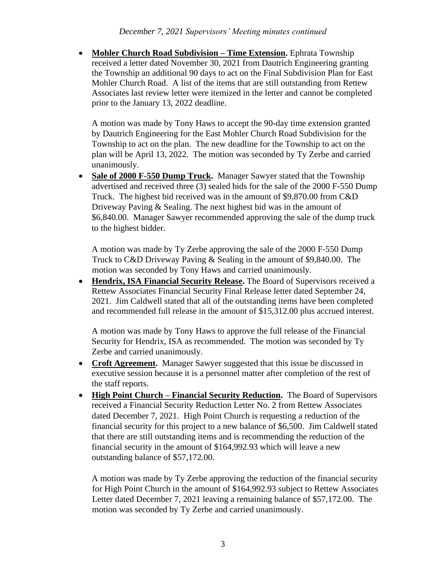• **Mohler Church Road Subdivision – Time Extension.** Ephrata Township received a letter dated November 30, 2021 from Dautrich Engineering granting the Township an additional 90 days to act on the Final Subdivision Plan for East Mohler Church Road. A list of the items that are still outstanding from Rettew Associates last review letter were itemized in the letter and cannot be completed prior to the January 13, 2022 deadline.

A motion was made by Tony Haws to accept the 90-day time extension granted by Dautrich Engineering for the East Mohler Church Road Subdivision for the Township to act on the plan. The new deadline for the Township to act on the plan will be April 13, 2022. The motion was seconded by Ty Zerbe and carried unanimously.

• Sale of **2000 F-550 Dump Truck.** Manager Sawyer stated that the Township advertised and received three (3) sealed bids for the sale of the 2000 F-550 Dump Truck. The highest bid received was in the amount of \$9,870.00 from C&D Driveway Paving & Sealing. The next highest bid was in the amount of \$6,840.00. Manager Sawyer recommended approving the sale of the dump truck to the highest bidder.

A motion was made by Ty Zerbe approving the sale of the 2000 F-550 Dump Truck to C&D Driveway Paving & Sealing in the amount of \$9,840.00. The motion was seconded by Tony Haws and carried unanimously.

• **Hendrix, ISA Financial Security Release.** The Board of Supervisors received a Rettew Associates Financial Security Final Release letter dated September 24, 2021. Jim Caldwell stated that all of the outstanding items have been completed and recommended full release in the amount of \$15,312.00 plus accrued interest.

A motion was made by Tony Haws to approve the full release of the Financial Security for Hendrix, ISA as recommended. The motion was seconded by Ty Zerbe and carried unanimously.

- **Croft Agreement.** Manager Sawyer suggested that this issue be discussed in executive session because it is a personnel matter after completion of the rest of the staff reports.
- **High Point Church – Financial Security Reduction.** The Board of Supervisors received a Financial Security Reduction Letter No. 2 from Rettew Associates dated December 7, 2021. High Point Church is requesting a reduction of the financial security for this project to a new balance of \$6,500. Jim Caldwell stated that there are still outstanding items and is recommending the reduction of the financial security in the amount of \$164,992.93 which will leave a new outstanding balance of \$57,172.00.

A motion was made by Ty Zerbe approving the reduction of the financial security for High Point Church in the amount of \$164,992.93 subject to Rettew Associates Letter dated December 7, 2021 leaving a remaining balance of \$57,172.00. The motion was seconded by Ty Zerbe and carried unanimously.